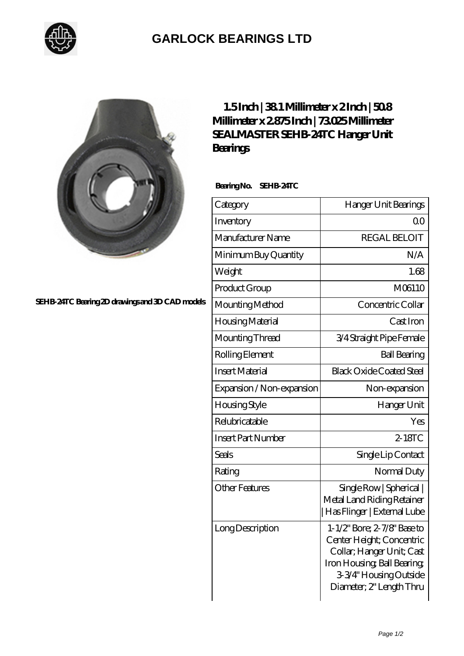

## **[GARLOCK BEARINGS LTD](https://m.letterstopriests.com)**



**[SEHB-24TC Bearing 2D drawings and 3D CAD models](https://m.letterstopriests.com/pic-189040.html)**

## **[1.5 Inch | 38.1 Millimeter x 2 Inch | 50.8](https://m.letterstopriests.com/aI-189040-sealmaster-sehb-24tc-hanger-unit-bearings.html) [Millimeter x 2.875 Inch | 73.025 Millimeter](https://m.letterstopriests.com/aI-189040-sealmaster-sehb-24tc-hanger-unit-bearings.html) [SEALMASTER SEHB-24TC Hanger Unit](https://m.letterstopriests.com/aI-189040-sealmaster-sehb-24tc-hanger-unit-bearings.html) [Bearings](https://m.letterstopriests.com/aI-189040-sealmaster-sehb-24tc-hanger-unit-bearings.html)**

 **Bearing No. SEHB-24TC**

| Category                  | Hanger Unit Bearings                                                                                                                                                       |
|---------------------------|----------------------------------------------------------------------------------------------------------------------------------------------------------------------------|
| Inventory                 | Q <sub>O</sub>                                                                                                                                                             |
| Manufacturer Name         | <b>REGAL BELOIT</b>                                                                                                                                                        |
| Minimum Buy Quantity      | N/A                                                                                                                                                                        |
| Weight                    | 1.68                                                                                                                                                                       |
| Product Group             | M06110                                                                                                                                                                     |
| Mounting Method           | Concentric Collar                                                                                                                                                          |
| Housing Material          | Cast Iron                                                                                                                                                                  |
| Mounting Thread           | 3/4 Straight Pipe Female                                                                                                                                                   |
| Rolling Element           | <b>Ball Bearing</b>                                                                                                                                                        |
| <b>Insert Material</b>    | <b>Black Oxide Coated Steel</b>                                                                                                                                            |
| Expansion / Non-expansion | Non-expansion                                                                                                                                                              |
| <b>Housing Style</b>      | Hanger Unit                                                                                                                                                                |
| Relubricatable            | Yes                                                                                                                                                                        |
| <b>Insert Part Number</b> | 2-18TC                                                                                                                                                                     |
| Seals                     | Single Lip Contact                                                                                                                                                         |
| Rating                    | Normal Duty                                                                                                                                                                |
| <b>Other Features</b>     | Single Row   Spherical  <br>Metal Land Riding Retainer<br>  Has Flinger   External Lube                                                                                    |
| Long Description          | 1-1/2" Bore; 2-7/8" Base to<br>Center Height; Concentric<br>Collar; Hanger Unit; Cast<br>Iron Housing, Ball Bearing,<br>3-3/4" Housing Outside<br>Diameter; 2" Length Thru |